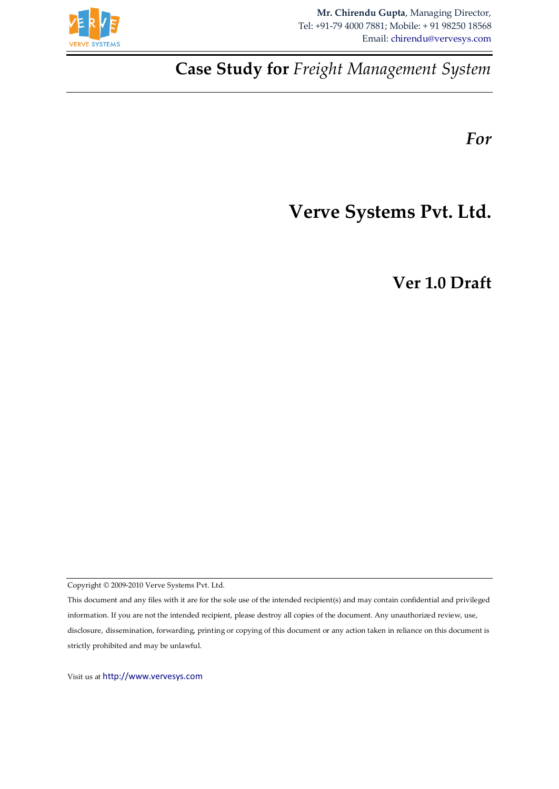

**Case Study for** *Freight Management System*

*For*

# **Verve Systems Pvt. Ltd.**

**Ver 1.0 Draft**

Copyright © 2009-2010 Verve Systems Pvt. Ltd.

This document and any files with it are for the sole use of the intended recipient(s) and may contain confidential and privileged information. If you are not the intended recipient, please destroy all copies of the document. Any unauthorized review, use, disclosure, dissemination, forwarding, printing or copying of this document or any action taken in reliance on this document is strictly prohibited and may be unlawful.

Visit us at [http://www.vervesys.com](http://www.vervesys.com/)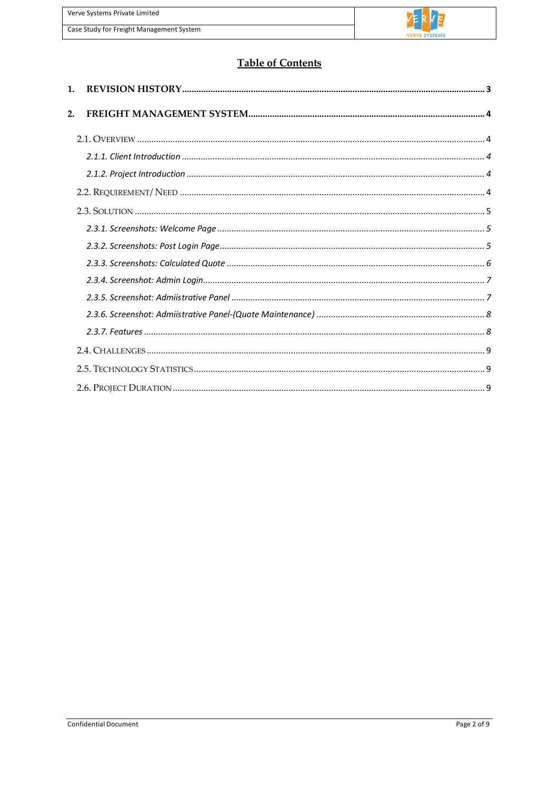| Verve Systems Private Limited            |
|------------------------------------------|
| Case Study for Freight Management System |



# **Table of Contents**

| $1_{-}$ |  |
|---------|--|
| 2.      |  |
|         |  |
|         |  |
|         |  |
|         |  |
|         |  |
|         |  |
|         |  |
|         |  |
|         |  |
|         |  |
|         |  |
|         |  |
|         |  |
|         |  |
|         |  |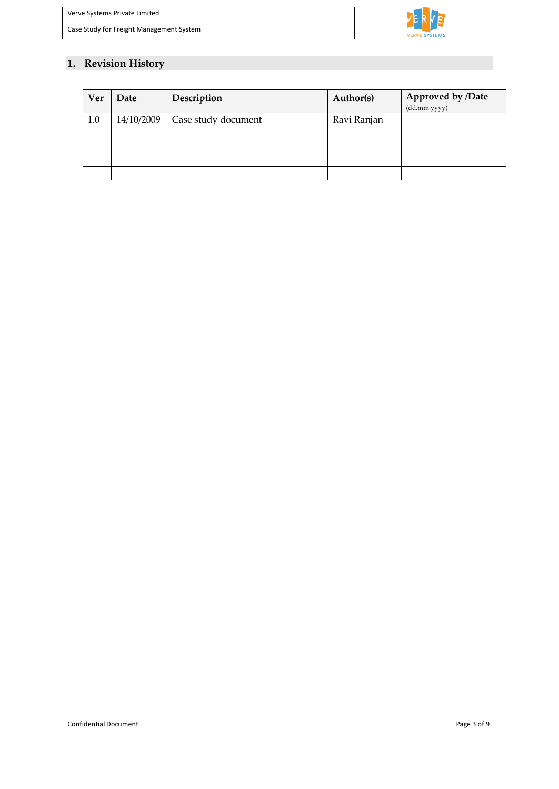

# <span id="page-2-0"></span>**1. Revision History**

| Ver | Date       | Description         | Author(s)   | Approved by /Date<br>(dd.mm.yyyy) |
|-----|------------|---------------------|-------------|-----------------------------------|
| 1.0 | 14/10/2009 | Case study document | Ravi Ranjan |                                   |
|     |            |                     |             |                                   |
|     |            |                     |             |                                   |
|     |            |                     |             |                                   |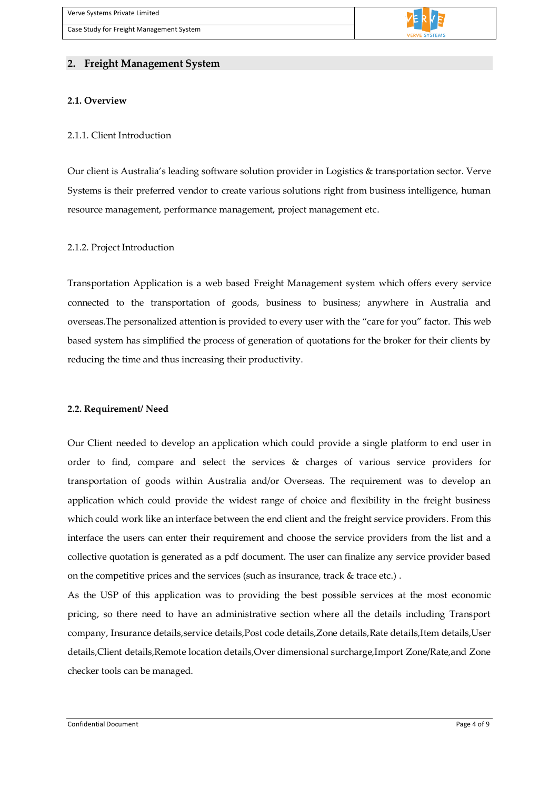

# <span id="page-3-0"></span>**2. Freight Management System**

#### <span id="page-3-1"></span>**2.1. Overview**

#### <span id="page-3-2"></span>2.1.1. Client Introduction

Our client is Australia's leading software solution provider in Logistics & transportation sector. Verve Systems is their preferred vendor to create various solutions right from business intelligence, human resource management, performance management, project management etc.

#### <span id="page-3-3"></span>2.1.2. Project Introduction

Transportation Application is a web based Freight Management system which offers every service connected to the transportation of goods, business to business; anywhere in Australia and overseas.The personalized attention is provided to every user with the "care for you" factor. This web based system has simplified the process of generation of quotations for the broker for their clients by reducing the time and thus increasing their productivity.

#### <span id="page-3-4"></span>**2.2. Requirement/ Need**

Our Client needed to develop an application which could provide a single platform to end user in order to find, compare and select the services & charges of various service providers for transportation of goods within Australia and/or Overseas. The requirement was to develop an application which could provide the widest range of choice and flexibility in the freight business which could work like an interface between the end client and the freight service providers. From this interface the users can enter their requirement and choose the service providers from the list and a collective quotation is generated as a pdf document. The user can finalize any service provider based on the competitive prices and the services (such as insurance, track & trace etc.) .

As the USP of this application was to providing the best possible services at the most economic pricing, so there need to have an administrative section where all the details including Transport company, Insurance details,service details,Post code details,Zone details,Rate details,Item details,User details,Client details,Remote location details,Over dimensional surcharge,Import Zone/Rate,and Zone checker tools can be managed.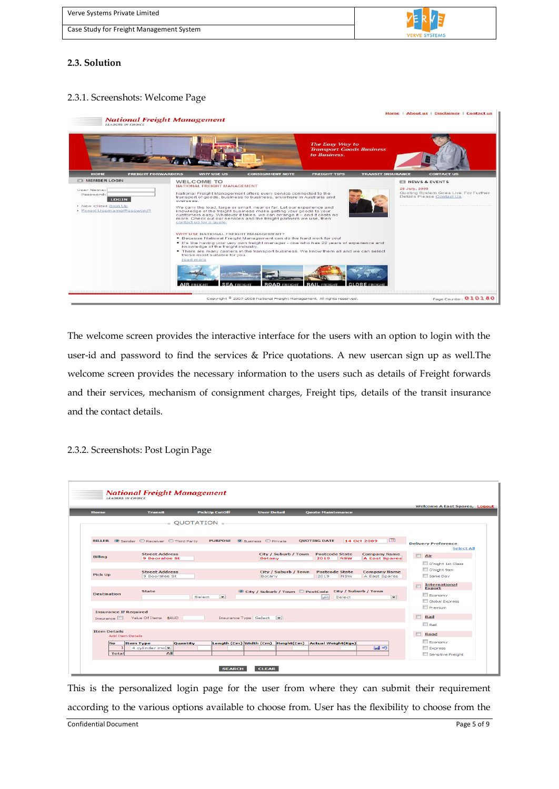Verve Systems Private Limited Case Study for Freight Management System

# <span id="page-4-0"></span>**2.3. Solution**

## <span id="page-4-1"></span>2.3.1. Screenshots: Welcome Page



The welcome screen provides the interactive interface for the users with an option to login with the user-id and password to find the services & Price quotations. A new usercan sign up as well.The welcome screen provides the necessary information to the users such as details of Freight forwards and their services, mechanism of consignment charges, Freight tips, details of the transit insurance and the contact details.

#### <span id="page-4-2"></span>2.3.2. Screenshots: Post Login Page

|                                                                  |                                               |                                            | <b>Ouote Maintenance</b>                                                                   |                                                                                                |
|------------------------------------------------------------------|-----------------------------------------------|--------------------------------------------|--------------------------------------------------------------------------------------------|------------------------------------------------------------------------------------------------|
|                                                                  | $_{\circ}$ OUOTATION $_{\circ}$               |                                            |                                                                                            |                                                                                                |
|                                                                  | BILLER Sender Receiver Third Party            | <b>PURPOSE O</b> Business <b>O</b> Private | <b>QUOTING DATE</b><br>14 Oct 2009                                                         | 图<br><b>Delivery Preference</b><br><b>Select All</b>                                           |
| <b>Billing</b>                                                   | <b>Street Address</b><br><b>9 Booralee St</b> | City / Suburb / Town<br><b>Botany</b>      | <b>Postcode State</b><br><b>Company Name</b><br>2019<br><b>NSW</b><br><b>A East Spares</b> | $\Box$ Air<br>O'night 1st Class                                                                |
| <b>Pick Up</b>                                                   | <b>Street Address</b><br>9 Booralee St        | City / Suburb / Town<br>Botany             | <b>Postcode State</b><br><b>Company Name</b><br>A East Spares<br>2019<br><b>NSW</b>        | O'night 9am<br>Same Day                                                                        |
| <b>Destination</b>                                               | <b>State</b><br>Select                        | $\vert - \vert$                            | © City / Suburb / Town © PostCode City / Suburb / Town<br>₽<br>Select                      | <b>International</b><br><b>Export</b><br>Economy<br>$\overline{}$<br>Global Express<br>Premium |
| <b>Insurance If Required</b><br>Insurance   Value Of Items \$AUD |                                               | Insurance Type Select -                    |                                                                                            | $\Box$<br>Rail<br>$\Box$ Rail                                                                  |
| <b>Item Details</b><br><b>Add Item Details</b>                   |                                               |                                            |                                                                                            | $\Box$<br>Road                                                                                 |

This is the personalized login page for the user from where they can submit their requirement according to the various options available to choose from. User has the flexibility to choose from the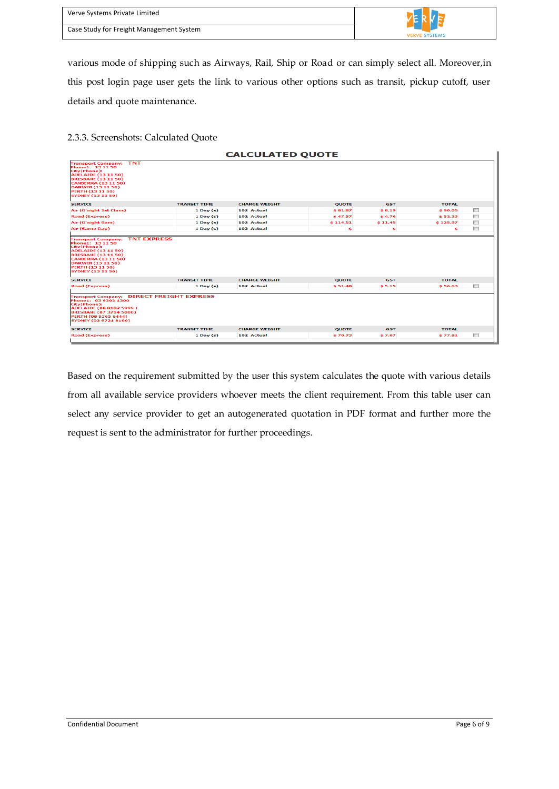| Verve Systems Private Limited            |                      |
|------------------------------------------|----------------------|
| Case Study for Freight Management System | <b>VERVE SYSTEMS</b> |

various mode of shipping such as Airways, Rail, Ship or Road or can simply select all. Moreover,in this post login page user gets the link to various other options such as transit, pickup cutoff, user details and quote maintenance.

## <span id="page-5-0"></span>2.3.3. Screenshots: Calculated Quote

|                                                                                                                                                                                                                                         |                     | <b>CALCULATED QUOTE</b> |              |            |              |                           |
|-----------------------------------------------------------------------------------------------------------------------------------------------------------------------------------------------------------------------------------------|---------------------|-------------------------|--------------|------------|--------------|---------------------------|
| <b>Transport Company: TNT</b><br>Phone1: 13 11 50<br>City(Phone):<br><b>ADELAIDE (13 11 50)</b><br><b>BRISBANE (13 11 50)</b><br><b>CANBERRA (13 11 50)</b><br>DARWIN (13 11 50)<br><b>PERTH (13 11 50)</b><br><b>SYDNEY (13 11 50)</b> |                     |                         |              |            |              |                           |
| <b>SERVICE</b>                                                                                                                                                                                                                          | <b>TRANSIT TIME</b> | <b>CHARGE WEIGHT</b>    | <b>QUOTE</b> | <b>GST</b> | <b>TOTAL</b> |                           |
| Air (O'night 1st Class)                                                                                                                                                                                                                 | $1$ Day $(s)$       | 102 Actual              | \$81.87      | \$8.19     | \$90.05      | $\Box$                    |
| <b>Road (Express)</b>                                                                                                                                                                                                                   | $1$ Day $(s)$       | 102 Actual              | \$47.57      | \$4.76     | \$52.33      | $\overline{\mathbb{R}^n}$ |
| Air (O'night 9am)                                                                                                                                                                                                                       | $1$ Day $(s)$       | 102 Actual              | \$114.51     | \$11.45    | \$125.97     | $\Box$                    |
| Air (Same Day)                                                                                                                                                                                                                          | $1$ Day $(s)$       | 102 Actual              | \$           | s          | s            | $\Box$                    |
| Phone1: 13 11 50<br>City(Phone):<br><b>ADELAIDE (13 11 50)</b><br><b>BRISBANE (13 11 50)</b><br><b>CANBERRA (13 11 50)</b><br>DARWIN (13 11 50)<br>PERTH (13 11 50)<br><b>SYDNEY (13 11 50)</b>                                         |                     |                         |              |            |              |                           |
| <b>SERVICE</b>                                                                                                                                                                                                                          | <b>TRANSIT TIME</b> | <b>CHARGE WEIGHT</b>    | <b>OUOTE</b> | <b>GST</b> | <b>TOTAL</b> |                           |
| <b>Road (Express)</b>                                                                                                                                                                                                                   | $1$ Day $(s)$       | 102 Actual              | \$51.48      | \$5.15     | \$56.63      | $\overline{\mathbb{R}^n}$ |
| <b>Transport Company: DIRECT FREIGHT EXPRESS</b><br>Phone1: 03 9303 1300<br>City(Phone):<br>ADELAIDE (08 8182 5999)<br><b>BRISBANE (07 3714 5000)</b><br>PERTH (08 9365 6444)<br><b>SYDNEY (02 9721 8100)</b>                           |                     |                         |              |            |              |                           |
| <b>SERVICE</b>                                                                                                                                                                                                                          | <b>TRANSIT TIME</b> | <b>CHARGE WEIGHT</b>    | <b>QUOTE</b> | <b>GST</b> | <b>TOTAL</b> |                           |
| <b>Road (Express)</b>                                                                                                                                                                                                                   | $1$ Day $(s)$       | 102 Actual              | \$70.73      | \$7.07     | \$77.81      | $\overline{\mathbb{R}^n}$ |

Based on the requirement submitted by the user this system calculates the quote with various details from all available service providers whoever meets the client requirement. From this table user can select any service provider to get an autogenerated quotation in PDF format and further more the request is sent to the administrator for further proceedings.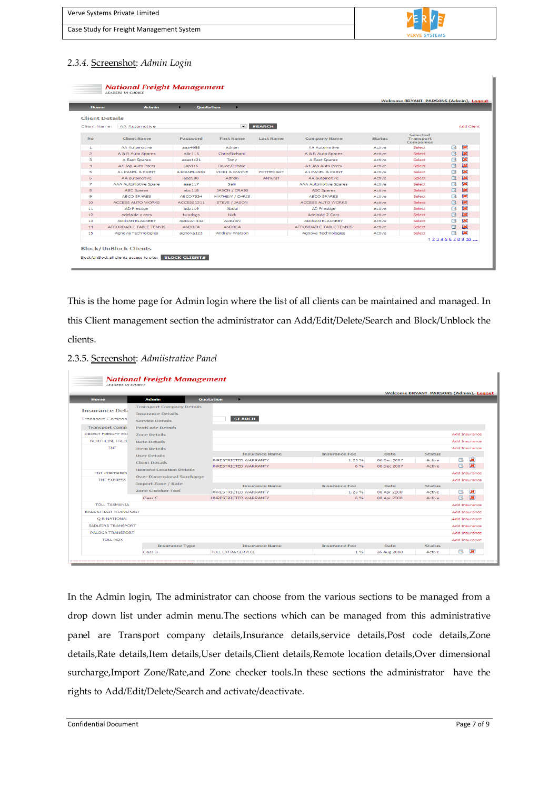| Verve Systems Private Limited            |                      |
|------------------------------------------|----------------------|
| Case Study for Freight Management System | <b>VERVE SYSTEMS</b> |
|                                          |                      |

# <span id="page-6-0"></span>*2.3.4.* Screenshot: *Admin Login*

| <b>Home</b>           | <b>Admin</b>                | <b>Ouotation</b> | $\blacktriangleright$    |                  |                              |               |                                           |             |                             |
|-----------------------|-----------------------------|------------------|--------------------------|------------------|------------------------------|---------------|-------------------------------------------|-------------|-----------------------------|
| <b>Client Details</b> |                             |                  |                          |                  |                              |               |                                           |             |                             |
| Client Name:          | <b>AA Automotive</b>        |                  | $\sim$ 1                 | <b>SEARCH</b>    |                              |               |                                           |             | Add Client                  |
| <b>No</b>             | <b>Client Name</b>          | Password         | <b>First Name</b>        | <b>Last Name</b> | <b>Company Name</b>          | <b>Status</b> | Selected<br><b>Transport</b><br>Companies |             |                             |
| 1.                    | <b>AA Automotive</b>        | aaa4988          | Adrian                   |                  | <b>AA Automotive</b>         | Active        | Select                                    | R           | 家                           |
| $\overline{2}$        | A & R Auto Spares           | a8r115           | Chris/Richard            |                  | A & R Auto Spares            | Active        | Select                                    | R           | $\overline{\mathbf{X}}$     |
| з                     | A East Spares               | aeast121         | Tony                     |                  | A East Spares                | Active        | Select                                    | ત્રિ        | $\overline{\mathbf{z}}$     |
| $\overline{4}$        | A1 Jap Auto Parts           | 10D116           | <b>Bruce/Debbie</b>      |                  | A1 Jap Auto Parts            | Active        | Select                                    | R           | 区                           |
| 5                     | A 1 PANEL & PAINT           | A 1PANEL 4982    | <b>VICKI &amp; WAYNE</b> | <b>POTHECARY</b> | A 1 PANEL & PAINT            | Active        | Select                                    | R           | $\mathbf{R}$                |
| 6                     | AA automotive               | aaa988           | Adrian                   | Akhurst          | AA automotive                | Active        | Select                                    | R           | $\overline{\mathbf{z}}$     |
| $\overline{z}$        | <b>AAA Automotive Spare</b> | aaa117           | Sam                      |                  | <b>AAA Automotive Spares</b> | Active        | Select                                    | R           | $\overline{\mathbf{x}}$     |
| 8                     | <b>ABC Spares</b>           | abc118           | <b>JASON / CRAIG</b>     |                  | <b>ABC Spares</b>            | Active        | Select                                    | R           | $\left  \mathbf{X} \right $ |
| 9                     | <b>ABCO SPARES</b>          | ABCO7334         | <b>MATHEW / CHRIS</b>    |                  | <b>ABCO SPARES</b>           | Active        | Select                                    | R           | $\overline{\mathbf{z}}$     |
| 10                    | <b>ACCESS AUTO WORKS</b>    | ACCESS1311       | STEVE / JASON            |                  | <b>ACCESS AUTO WORKS</b>     | Active        | Select                                    | Q           | $\overline{\mathbf{X}}$     |
| 11                    | <b>AD Prestige</b>          | adp119           | Abdul                    |                  | <b>AD Prestige</b>           | Active        | Select                                    | ત્રિ        | $\overline{\mathbf{z}}$     |
| 12 <sup>2</sup>       | adelaide z cars.            | twodogs          | Nick                     |                  | Adelaide Z Cars              | Active        | Select                                    | R           | 翼                           |
| 13                    | <b>ADRIAN BLACKEBY</b>      | ADRIAN442        | <b>ADRIAN</b>            |                  | <b>ADRIAN BLACKEBY</b>       | Active        | Select                                    | त्रि        | $\overline{\mathbf{z}}$     |
| 14                    | AFFORDABLE TABLE TENNIS     | <b>ANDREA</b>    | <b>ANDREA</b>            |                  | AFFORDABLE TABLE TENNIS      | Active        | Select                                    | R           | 溪                           |
| 15                    | Agnova Technologies         | agnova123        | Andrew Watson            |                  | Agnova Technologies          | Active        | Select                                    | R           | $\overline{\mathbf{x}}$     |
|                       |                             |                  |                          |                  |                              |               |                                           | 12345678910 |                             |

This is the home page for Admin login where the list of all clients can be maintained and managed. In this Client management section the administrator can Add/Edit/Delete/Search and Block/Unblock the clients.

#### <span id="page-6-1"></span>2.3.5. Screenshot: *Admiistrative Panel*

| <b>LEADERS IN CHOICE</b>                                                   | <b>National Freight Management</b>                                                                                |                                     |                      |             |               |                                               |
|----------------------------------------------------------------------------|-------------------------------------------------------------------------------------------------------------------|-------------------------------------|----------------------|-------------|---------------|-----------------------------------------------|
| <b>Home</b>                                                                | <b>Admin</b>                                                                                                      | ×<br><b>Ouotation</b>               |                      |             |               | <b>Welcome BRYANT PARSONS (Admin), Logout</b> |
| <b>Insurance Det:</b><br><b>Transport Compan</b><br><b>Transport Comp.</b> | <b>Transport Company Details</b><br><b>Insurance Details</b><br><b>Service Details</b><br><b>PostCode Details</b> | <b>SEARCH</b>                       |                      |             |               |                                               |
| <b>DIRECT FREIGHT EXI</b>                                                  | <b>Zone Details</b>                                                                                               |                                     |                      |             |               | Add Insurance                                 |
| NORTHLINE FREID                                                            | <b>Rate Details</b>                                                                                               |                                     |                      |             |               | Add Insurance                                 |
| <b>TNT</b>                                                                 | <b>Item Details</b>                                                                                               |                                     |                      |             |               | Add Insurance                                 |
|                                                                            | <b>User Details</b>                                                                                               | <b>Insurance Name</b>               | <b>Insurance Fee</b> | <b>Date</b> | <b>Status</b> |                                               |
|                                                                            | <b>Client Details</b>                                                                                             | <b><i>INRESTRICTED WARRANTY</i></b> | 1.25%                | 06 Dec 2007 | Active        | 案<br>R                                        |
|                                                                            | <b>Remote Location Details</b>                                                                                    | <b>INRESTRICTED WARRANTY</b>        | 6%                   | 06 Dec 2007 | Active        | <b>R</b> 20                                   |
| <b>TNT Internation</b>                                                     |                                                                                                                   |                                     |                      |             |               | Add Insurance                                 |
| <b>TNT EXPRESS</b>                                                         | <b>Over Dimensional Surcharge</b>                                                                                 |                                     |                      |             |               | Add Insurance                                 |
|                                                                            | <b>Import Zone / Rate</b>                                                                                         | <b>Tosurance Name</b>               | <b>Tosurance Fee</b> | <b>Date</b> | Status        |                                               |
|                                                                            | <b>Zone Checker Tool</b>                                                                                          | <b>INRESTRICTED WARRANTY</b>        | 1.25%                | 08 Apr 2008 | Active        | $\overline{\mathbf{z}}$<br>ार                 |
|                                                                            | Class C                                                                                                           | UNRESTRICTED WARRANTY               | 6%                   | 08 Apr 2008 | Active        | <b>R X</b>                                    |
| <b>TOLL TASMANIA</b>                                                       |                                                                                                                   |                                     |                      |             |               | Add Insurance                                 |
| <b>BASS STRAIT TRANSPORT</b>                                               |                                                                                                                   |                                     |                      |             |               | Add Insurance                                 |
| O R NATIONAL                                                               |                                                                                                                   |                                     |                      |             |               | Add Insurance                                 |
| <b>SADLEIRS TRANSPORT</b>                                                  |                                                                                                                   |                                     |                      |             |               | Add Insurance                                 |
| PALOGA TRANSPORT                                                           |                                                                                                                   |                                     |                      |             |               | Add Insurance                                 |
| <b>TOLL NOX</b>                                                            |                                                                                                                   |                                     |                      |             |               | Add Insurance                                 |
|                                                                            | <b>Insurance Type</b>                                                                                             | <b>Insurance Name</b>               | <b>Insurance Fee</b> | <b>Date</b> | <b>Status</b> |                                               |
|                                                                            | Class B                                                                                                           | <b>TOLL EXTRA SERVICE</b>           | 1%                   | 26 Aug 2008 | Active        | 案<br>R                                        |

In the Admin login, The administrator can choose from the various sections to be managed from a drop down list under admin menu.The sections which can be managed from this administrative panel are Transport company details, Insurance details, service details, Post code details, Zone details,Rate details,Item details,User details,Client details,Remote location details,Over dimensional surcharge,Import Zone/Rate,and Zone checker tools.In these sections the administrator have the rights to Add/Edit/Delete/Search and activate/deactivate.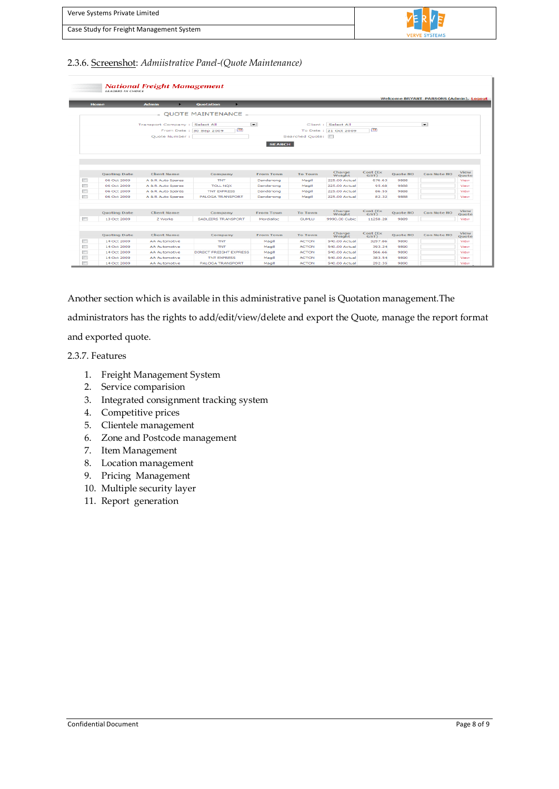| Verve Systems Private Limited            |                      |
|------------------------------------------|----------------------|
| Case Study for Freight Management System | <b>VERVE SYSTEMS</b> |
|                                          |                      |

#### <span id="page-7-0"></span>2.3.6. Screenshot: *Admiistrative Panel-(Quote Maintenance)*

| <b>National Freight Management</b><br><b>LEADERS IN CHOICE</b><br><b>Welcome BRYANT PARSONS (Admin), Logout</b> |                     |                                |                                               |                          |                 |                                             |                  |                 |                    |                      |
|-----------------------------------------------------------------------------------------------------------------|---------------------|--------------------------------|-----------------------------------------------|--------------------------|-----------------|---------------------------------------------|------------------|-----------------|--------------------|----------------------|
|                                                                                                                 | Home                | ٠<br><b>Admin</b>              | Quotation                                     |                          |                 |                                             |                  |                 |                    |                      |
|                                                                                                                 |                     |                                | $\textdegree$ OUOTE MAINTENANCE $\textdegree$ |                          |                 |                                             |                  |                 |                    |                      |
|                                                                                                                 |                     | Transport Company : Select All | $\overline{12}$<br>From Date: 30 Sep 2009     | $\vert \mathbf{v} \vert$ |                 | Client : Select All<br>To Date: 21 Oct 2009 | $-12$            |                 | $\overline{ }$     |                      |
|                                                                                                                 |                     | Quote Number:                  |                                               |                          | Searched Ouote: |                                             |                  |                 |                    |                      |
|                                                                                                                 |                     |                                |                                               | <b>SEARCH</b>            |                 |                                             |                  |                 |                    |                      |
|                                                                                                                 | <b>Quoting Date</b> | <b>Client Name</b>             | Company                                       | <b>From Town</b>         | <b>To Town</b>  | Charge<br>Weight                            | Cost (Ex<br>GST  | Quote NO        | Con Note NO        | View<br>Quote        |
| Ē                                                                                                               | 06 Oct 2009         | A & R Auto Spares              | <b>TNT</b>                                    | Dandenong                | Magill          | 225.00 Actual                               | 676.63           | 9888            |                    | View                 |
| $\Box$                                                                                                          | 06 Oct 2009         | A & R Auto Spares              | <b>TOLL NOX</b>                               | Dandenong                | Magill          | 225.00 Actual                               | 95.68            | 9888            |                    | View                 |
| $\blacksquare$                                                                                                  | 06 Oct 2009         | A & R Auto Spares              | <b>TNT EXPRESS</b>                            | Dandenong                | Magill          | 225.00 Actual                               | 86.55            | 9888            |                    | View                 |
| $\Box$                                                                                                          | 06 Oct 2009         | A & R Auto Spares              | PALOGA TRANSPORT                              | Dandenong                | Magill          | 225.00 Actual                               | 82.32            | 9888            |                    | View                 |
|                                                                                                                 | <b>Quoting Date</b> | <b>Client Name</b>             | Company                                       | <b>From Town</b>         | <b>To Town</b>  | Charge<br>Weight                            | Cost (Ex<br>GST) | Quote NO        | Con Note NO        | View<br>Quote        |
| $\Box$                                                                                                          | 13 Oct 2009         | Z Works                        | SADLEIRS TRANSPORT                            | Mordialloc               | <b>GUMLU</b>    | 9990.00 Cubic                               | 11258.28         | 9889            |                    | View                 |
|                                                                                                                 | <b>Ouoting Date</b> | <b>Client Name</b>             | Company                                       | <b>From Town</b>         | <b>To Town</b>  | Charge<br>Weight                            | Cost (Ex<br>GST) | <b>Ouote NO</b> | <b>Con Note NO</b> | View                 |
| $\blacksquare$                                                                                                  | 14 Oct 2009         | <b>AA Automotive</b>           | <b>TNT</b>                                    | Magill                   | <b>ACTON</b>    | 540.00 Actual                               | 3297.86          | 9890            |                    | <b>Ouote</b><br>View |
| m                                                                                                               | 14 Oct 2009         | <b>AA Automotive</b>           | <b>TNT</b>                                    | Magill                   | <b>ACTON</b>    | 540.00 Actual                               | 393.24           | 9890            |                    | View                 |
| G                                                                                                               | 14 Oct 2009         | <b>AA Automotive</b>           | <b>DIRECT FREIGHT EXPRESS</b>                 | Magill                   | <b>ACTON</b>    | 540.00 Actual                               | 566.66           | 9890            |                    | View                 |
| Π                                                                                                               | 14 Oct 2009         | <b>AA Automotive</b>           | <b>TNT EXPRESS</b>                            | Magill                   | <b>ACTON</b>    | 540.00 Actual                               | 383.54           | 9890            |                    | View                 |
|                                                                                                                 | 14 Oct 2009         | <b>AA Automotive</b>           | PALOGA TRANSPORT                              | Magill                   | <b>ACTON</b>    | 540.00 Actual                               | 292.35           | 9890            |                    |                      |

Another section which is available in this administrative panel is Quotation management.The administrators has the rights to add/edit/view/delete and export the Quote, manage the report format and exported quote.

<span id="page-7-1"></span>2.3.7. Features

- 1. Freight Management System
- 2. Service comparision
- 3. Integrated consignment tracking system
- 4. Competitive prices
- 5. Clientele management
- 6. Zone and Postcode management
- 7. Item Management
- 8. Location management
- 9. Pricing Management
- 10. Multiple security layer
- 11. Report generation